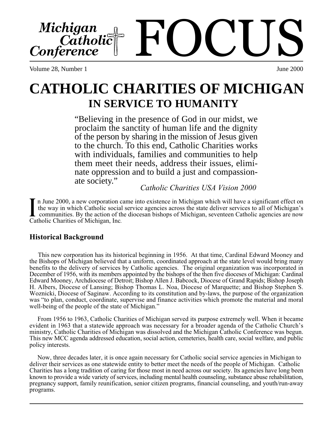FOCUS Michigan<br>Catholic Conference

Volume 28, Number 1 June 2000

# **CATHOLIC CHARITIES OF MICHIGAN IN SERVICE TO HUMANITY**

"Believing in the presence of God in our midst, we proclaim the sanctity of human life and the dignity of the person by sharing in the mission of Jesus given to the church. To this end, Catholic Charities works with individuals, families and communities to help them meet their needs, address their issues, eliminate oppression and to build a just and compassion-

*Catholic Charities USA Vision 2000* 

 n June 2000, a new corporation came into existence in Michigan which will have a significant effect on the way in which Catholic social service agencies across the state deliver services to all of Michigan's communities. By the action of the diocesan bishops of Michigan, seventeen Catholic agencies are now **I** the way in which Catholic social communities. By the action of the Catholic Charities of Michigan, Inc.

## **Historical Background**

 This new corporation has its historical beginning in 1956. At that time, Cardinal Edward Mooney and the Bishops of Michigan believed that a uniform, coordinated approach at the state level would bring many benefits to the delivery of services by Catholic agencies. The original organization was incorporated in December of 1956, with its members appointed by the bishops of the then five dioceses of Michigan: Cardinal Edward Mooney, Archdiocese of Detroit; Bishop Allen J. Babcock, Diocese of Grand Rapids; Bishop Joseph H. Albers, Diocese of Lansing; Bishop Thomas L. Noa, Diocese of Marquette; and Bishop Stephen S. Woznicki, Diocese of Saginaw. According to its constitution and by-laws, the purpose of the organization was "to plan, conduct, coordinate, supervise and finance activities which promote the material and moral well-being of the people of the state of Michigan."

 From 1956 to 1963, Catholic Charities of Michigan served its purpose extremely well. When it became evident in 1963 that a statewide approach was necessary for a broader agenda of the Catholic Church's ministry, Catholic Charities of Michigan was dissolved and the Michigan Catholic Conference was begun. This new MCC agenda addressed education, social action, cemeteries, health care, social welfare, and public policy interests.

 Now, three decades later, it is once again necessary for Catholic social service agencies in Michigan to deliver their services as one statewide entity to better meet the needs of the people of Michigan. Catholic Charities has a long tradition of caring for those most in need across our society. Its agencies have long been known to provide a wide variety of services, including mental health counseling, substance abuse rehabilitation, pregnancy support, family reunification, senior citizen programs, financial counseling, and youth/run-away programs.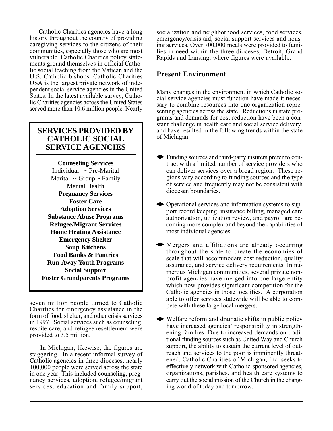Catholic Charities agencies have a long history throughout the country of providing caregiving services to the citizens of their communities, especially those who are most vulnerable. Catholic Charities policy statements ground themselves in official Catholic social teaching from the Vatican and the U.S. Catholic bishops. Catholic Charities USA is the largest private network of independent social service agencies in the United States. In the latest available survey, Catholic Charities agencies across the United States served more than 10.6 million people. Nearly

## **SERVICES PROVIDED BY CATHOLIC SOCIAL SERVICE AGENCIES**

**Counseling Services** Individual ~ Pre-Marital Marital  $\sim$  Group  $\sim$  Family Mental Health **Pregnancy Services Foster Care Adoption Services Substance Abuse Programs Refugee/Migrant Services Home Heating Assistance Emergency Shelter Soup Kitchens Food Banks & Pantries Run-Away Youth Programs Social Support Foster Grandparents Programs**

seven million people turned to Catholic Charities for emergency assistance in the form of food, shelter, and other crisis services in 1997. Social services such as counseling, respite care, and refugee resettlement were provided to 3.5 million.

 In Michigan, likewise, the figures are staggering. In a recent informal survey of Catholic agencies in three dioceses, nearly 100,000 people were served across the state in one year. This included counseling, pregnancy services, adoption, refugee/migrant services, education and family support,

socialization and neighborhood services, food services, emergency/crisis aid, social support services and housing services. Over 700,000 meals were provided to families in need within the three dioceses, Detroit, Grand Rapids and Lansing, where figures were available. .

### **Present Environment**

Many changes in the environment in which Catholic social service agencies must function have made it necessary to combine resources into one organization representing agencies across the state. Reductions in state programs and demands for cost reduction have been a constant challenge in health care and social service delivery, and have resulted in the following trends within the state of Michigan.

- Funding sources and third-party insurers prefer to contract with a limited number of service providers who can deliver services over a broad region. These regions vary according to funding sources and the type of service and frequently may not be consistent with diocesan boundaries.
- Operational services and information systems to support record keeping, insurance billing, managed care authorization, utilization review, and payroll are becoming more complex and beyond the capabilities of most individual agencies.
- Mergers and affiliations are already occurring throughout the state to create the economies of scale that will accommodate cost reduction, quality assurance, and service delivery requirements. In numerous Michigan communities, several private nonprofit agencies have merged into one large entity which now provides significant competition for the Catholic agencies in those localities. A corporation able to offer services statewide will be able to compete with these large local mergers.
- Welfare reform and dramatic shifts in public policy have increased agencies' responsibility in strengthening families. Due to increased demands on traditional funding sources such as United Way and Church support, the ability to sustain the current level of outreach and services to the poor is imminently threatened. Catholic Charities of Michigan, Inc*.* seeks to effectively network with Catholic-sponsored agencies, organizations, parishes, and health care systems to carry out the social mission of the Church in the changing world of today and tomorrow.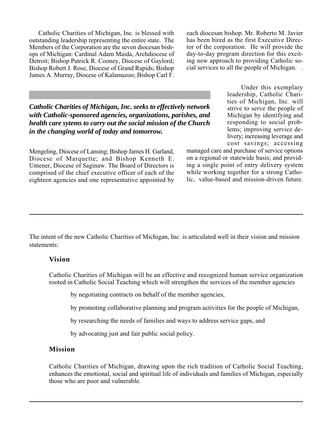Catholic Charities of Michigan, Inc*.* is blessed with outstanding leadership representing the entire state. The Members of the Corporation are the seven diocesan bishops of Michigan: Cardinal Adam Maida, Archdiocese of Detroit; Bishop Patrick R. Cooney, Diocese of Gaylord; Bishop Robert J. Rose, Diocese of Grand Rapids; Bishop James A. Murray, Diocese of Kalamazoo; Bishop Carl F. each diocesan bishop. Mr. Roberto M. Javier has been hired as the first Executive Director of the corporation. He will provide the day-to-day program direction for this exciting new approach to providing Catholic social services to all the people of Michigan. .

*Catholic Charities of Michigan, Inc. seeks to effectively network with Catholic-sponsored agencies, organizations, parishes, and health care sytems to carry out the social mission of the Church in the changing world of today and tomorrow.*

Mengeling, Diocese of Lansing; Bishop James H. Garland, Diocese of Marquette; and Bishop Kenneth E. Untener, Diocese of Saginaw. The Board of Directors is comprised of the chief executive officer of each of the eighteen agencies and one representative appointed by

 Under this exemplary leadership, Catholic Charities of Michigan, Inc*.* will strive to serve the people of Michigan by identifying and responding to social problems; improving service delivery; increasing leverage and cost savings; accessing

managed care and purchase of service options on a regional or statewide basis; and providing a single point of entry delivery system while working together for a strong Catholic, value-based and mission-driven future.

The intent of the new Catholic Charities of Michigan, Inc*.* is articulated well in their vision and mission statements:

#### **Vision**

Catholic Charities of Michigan will be an effective and recognized human service organization rooted in Catholic Social Teaching which will strengthen the services of the member agencies .

by negotiating contracts on behalf of the member agencies,

by promoting collaborative planning and program activities for the people of Michigan,

by researching the needs of families and ways to address service gaps, and

by advocating just and fair public social policy.

#### **Mission**

Catholic Charities of Michigan, drawing upon the rich tradition of Catholic Social Teaching, enhances the emotional, social and spiritual life of individuals and families of Michigan, especially those who are poor and vulnerable.